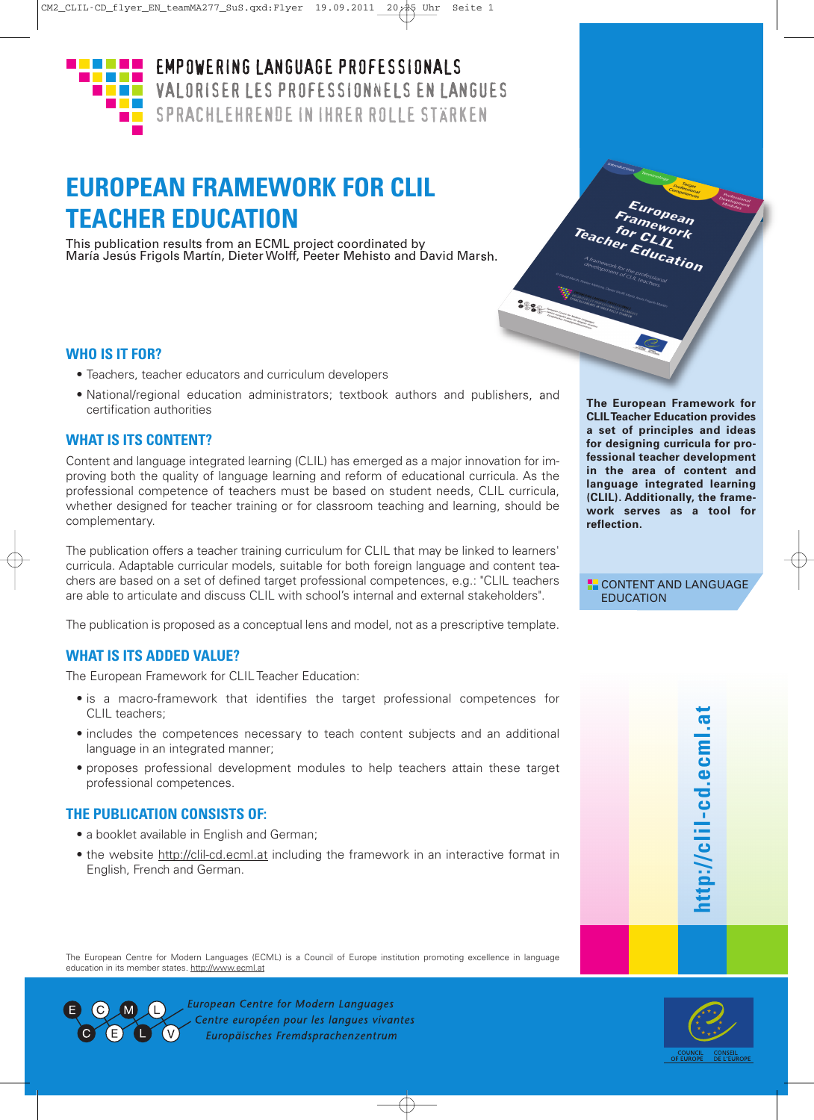

# **EUROPEAN FRAMEWORK FOR CLIL TEACHER EDUCATION**

This publication results from an ECML project coordinated by María Jesús Frigols Martín, Dieter Wolff, Peeter Mehisto and David Marsh.

## **WHO IS IT FOR?**

- Teachers, teacher educators and curriculum developers
- National/regional education administrators; textbook authors and publishers, and certification authorities

## **WHAT IS ITS CONTENT?**

Content and language integrated learning (CLIL) has emerged as a major innovation for improving both the quality of language learning and reform of educational curricula. As the professional competence of teachers must be based on student needs, CLIL curricula, whether designed for teacher training or for classroom teaching and learning, should be complementary.

The publication offers a teacher training curriculum for CLIL that may be linked to learners' curricula. Adaptable curricular models, suitable for both foreign language and content teachers are based on a set of defined target professional competences, e.g.: "CLIL teachers are able to articulate and discuss CLIL with school's internal and external stakeholders".

The publication is proposed as a conceptual lens and model, not as a prescriptive template.

## **WHAT IS ITS ADDED VALUE?**

The European Framework for CLIL Teacher Education:

- is a macro-framework that identifies the target professional competences for CLIL teachers;
- includes the competences necessary to teach content subjects and an additional language in an integrated manner;
- proposes professional development modules to help teachers attain these target professional competences.

### **THE PUBLICATION CONSISTS OF:**

- a booklet available in English and German;
- the website http://clil-cd.ecml.at including the framework in an interactive format in English, French and German.

**The European Framework for CLILTeacher Education provides a set of principles and ideas for designing curricula for professional teacher development in the area of content and language integrated learning (CLIL). Additionally, the framework serves as a tool for reflection.**

European ramework<br><sup>ramework</sup>

Teacher Education

3888

**E.** CONTENT AND LANGUAGE EDUCATION



The European Centre for Modern Languages (ECML) is a Council of Europe institution promoting excellence in language education in its member states. http://www.ecml.at



**European Centre for Modern Languages** Centre européen pour les langues vivantes Europäisches Fremdsprachenzentrum